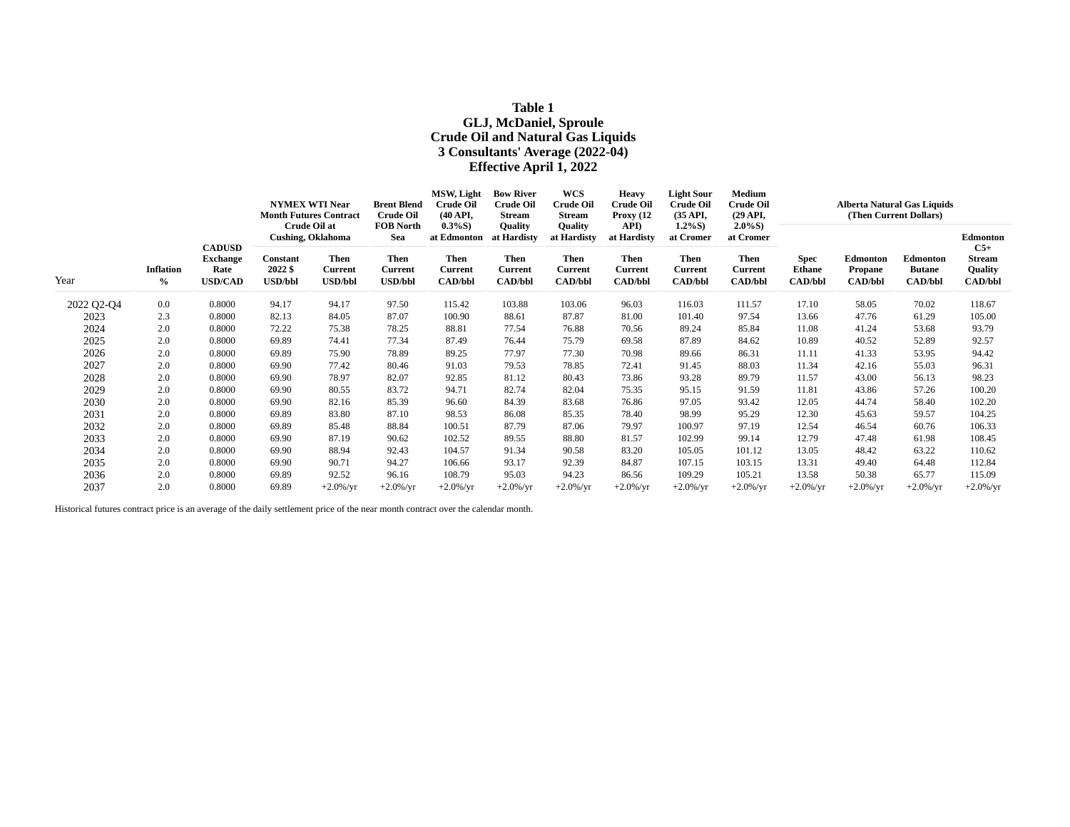# **Table 1 GLJ, McDaniel, Sproule Crude Oil and Natural Gas Liquids 3 Consultants' Average (2022-04) Effective April 1, 2022**

| Year       | <b>Inflation</b><br>$\frac{0}{0}$ | <b>CADUSD</b><br><b>Exchange</b><br>Rate<br><b>USD/CAD</b> | <b>NYMEX WTI Near</b><br><b>Month Futures Contract</b><br>Crude Oil at |                                                 | <b>Brent Blend</b><br><b>Crude Oil</b>                                     | MSW, Light<br><b>Crude Oil</b><br>$(40 \text{ API}$                   | <b>Bow River</b><br><b>Crude Oil</b><br><b>Stream</b>                     | WCS<br><b>Crude Oil</b><br>Stream                                                | <b>Heavy</b><br><b>Crude Oil</b><br>Proxy $(12)$                       | <b>Light Sour</b><br><b>Crude Oil</b><br>(35 API,                   | Medium<br><b>Crude Oil</b><br>$(29 \text{ API},$             | Alberta Natural Gas Liquids<br>(Then Current Dollars) |                                              |                                                    |                                                                        |  |
|------------|-----------------------------------|------------------------------------------------------------|------------------------------------------------------------------------|-------------------------------------------------|----------------------------------------------------------------------------|-----------------------------------------------------------------------|---------------------------------------------------------------------------|----------------------------------------------------------------------------------|------------------------------------------------------------------------|---------------------------------------------------------------------|--------------------------------------------------------------|-------------------------------------------------------|----------------------------------------------|----------------------------------------------------|------------------------------------------------------------------------|--|
|            |                                   |                                                            |                                                                        | <b>Cushing, Oklahoma</b>                        | <b>FOB North</b><br>Sea<br><b>Then</b><br><b>Current</b><br><b>USD/bbl</b> | $0.3\%S$ )<br>at Edmonton<br><b>Then</b><br>Current<br><b>CAD/bbl</b> | Quality<br>at Hardisty<br><b>Then</b><br><b>Current</b><br><b>CAD/bbl</b> | <b>Quality</b><br>at Hardisty<br><b>Then</b><br><b>Current</b><br><b>CAD/bbl</b> | API)<br>at Hardisty<br><b>Then</b><br><b>Current</b><br><b>CAD/bbl</b> | $1.2\%S$ )<br>at Cromer<br>Then<br><b>Current</b><br><b>CAD/bbl</b> | $2.0\%S$ )<br>at Cromer<br>Then<br>Current<br><b>CAD/bbl</b> | <b>Spec</b><br><b>Ethane</b><br><b>CAD/bbl</b>        | Edmonton<br><b>Propane</b><br><b>CAD/bbl</b> | <b>Edmonton</b><br><b>Butane</b><br><b>CAD/bbl</b> | Edmonton<br>$C5+$<br><b>Stream</b><br><b>Quality</b><br><b>CAD/bbl</b> |  |
|            |                                   |                                                            | Constant<br>2022 \$<br><b>USD/bbl</b>                                  | <b>Then</b><br><b>Current</b><br><b>USD/bbl</b> |                                                                            |                                                                       |                                                                           |                                                                                  |                                                                        |                                                                     |                                                              |                                                       |                                              |                                                    |                                                                        |  |
| 2022 Q2-Q4 | $0.0\,$                           | 0.8000                                                     | 94.17                                                                  | 94.17                                           | 97.50                                                                      | 115.42                                                                | 103.88                                                                    | 103.06                                                                           | 96.03                                                                  | 116.03                                                              | 111.57                                                       | 17.10                                                 | 58.05                                        | 70.02                                              | 118.67                                                                 |  |
| 2023       | 2.3                               | 0.8000                                                     | 82.13                                                                  | 84.05                                           | 87.07                                                                      | 100.90                                                                | 88.61                                                                     | 87.87                                                                            | 81.00                                                                  | 101.40                                                              | 97.54                                                        | 13.66                                                 | 47.76                                        | 61.29                                              | 105.00                                                                 |  |
| 2024       | 2.0                               | 0.8000                                                     | 72.22                                                                  | 75.38                                           | 78.25                                                                      | 88.81                                                                 | 77.54                                                                     | 76.88                                                                            | 70.56                                                                  | 89.24                                                               | 85.84                                                        | 11.08                                                 | 41.24                                        | 53.68                                              | 93.79                                                                  |  |
| 2025       | 2.0                               | 0.8000                                                     | 69.89                                                                  | 74.41                                           | 77.34                                                                      | 87.49                                                                 | 76.44                                                                     | 75.79                                                                            | 69.58                                                                  | 87.89                                                               | 84.62                                                        | 10.89                                                 | 40.52                                        | 52.89                                              | 92.57                                                                  |  |
| 2026       | 2.0                               | 0.8000                                                     | 69.89                                                                  | 75.90                                           | 78.89                                                                      | 89.25                                                                 | 77.97                                                                     | 77.30                                                                            | 70.98                                                                  | 89.66                                                               | 86.31                                                        | 11.11                                                 | 41.33                                        | 53.95                                              | 94.42                                                                  |  |
| 2027       | 2.0                               | 0.8000                                                     | 69.90                                                                  | 77.42                                           | 80.46                                                                      | 91.03                                                                 | 79.53                                                                     | 78.85                                                                            | 72.41                                                                  | 91.45                                                               | 88.03                                                        | 11.34                                                 | 42.16                                        | 55.03                                              | 96.31                                                                  |  |
| 2028       | 2.0                               | 0.8000                                                     | 69.90                                                                  | 78.97                                           | 82.07                                                                      | 92.85                                                                 | 81.12                                                                     | 80.43                                                                            | 73.86                                                                  | 93.28                                                               | 89.79                                                        | 11.57                                                 | 43.00                                        | 56.13                                              | 98.23                                                                  |  |
| 2029       | 2.0                               | 0.8000                                                     | 69.90                                                                  | 80.55                                           | 83.72                                                                      | 94.71                                                                 | 82.74                                                                     | 82.04                                                                            | 75.35                                                                  | 95.15                                                               | 91.59                                                        | 11.81                                                 | 43.86                                        | 57.26                                              | 100.20                                                                 |  |
| 2030       | 2.0                               | 0.8000                                                     | 69.90                                                                  | 82.16                                           | 85.39                                                                      | 96.60                                                                 | 84.39                                                                     | 83.68                                                                            | 76.86                                                                  | 97.05                                                               | 93.42                                                        | 12.05                                                 | 44.74                                        | 58.40                                              | 102.20                                                                 |  |
| 2031       | 2.0                               | 0.8000                                                     | 69.89                                                                  | 83.80                                           | 87.10                                                                      | 98.53                                                                 | 86.08                                                                     | 85.35                                                                            | 78.40                                                                  | 98.99                                                               | 95.29                                                        | 12.30                                                 | 45.63                                        | 59.57                                              | 104.25                                                                 |  |
| 2032       | 2.0                               | 0.8000                                                     | 69.89                                                                  | 85.48                                           | 88.84                                                                      | 100.51                                                                | 87.79                                                                     | 87.06                                                                            | 79.97                                                                  | 100.97                                                              | 97.19                                                        | 12.54                                                 | 46.54                                        | 60.76                                              | 106.33                                                                 |  |
| 2033       | 2.0                               | 0.8000                                                     | 69.90                                                                  | 87.19                                           | 90.62                                                                      | 102.52                                                                | 89.55                                                                     | 88.80                                                                            | 81.57                                                                  | 102.99                                                              | 99.14                                                        | 12.79                                                 | 47.48                                        | 61.98                                              | 108.45                                                                 |  |
| 2034       | 2.0                               | 0.8000                                                     | 69.90                                                                  | 88.94                                           | 92.43                                                                      | 104.57                                                                | 91.34                                                                     | 90.58                                                                            | 83.20                                                                  | 105.05                                                              | 101.12                                                       | 13.05                                                 | 48.42                                        | 63.22                                              | 110.62                                                                 |  |
| 2035       | 2.0                               | 0.8000                                                     | 69.90                                                                  | 90.71                                           | 94.27                                                                      | 106.66                                                                | 93.17                                                                     | 92.39                                                                            | 84.87                                                                  | 107.15                                                              | 103.15                                                       | 13.31                                                 | 49.40                                        | 64.48                                              | 112.84                                                                 |  |
| 2036       | 2.0                               | 0.8000                                                     | 69.89                                                                  | 92.52                                           | 96.16                                                                      | 108.79                                                                | 95.03                                                                     | 94.23                                                                            | 86.56                                                                  | 109.29                                                              | 105.21                                                       | 13.58                                                 | 50.38                                        | 65.77                                              | 115.09                                                                 |  |
| 2037       | 2.0                               | 0.8000                                                     | 69.89                                                                  | $+2.0\%$ /yr                                    | $+2.0\%$ /yr                                                               | $+2.0\%$ /yr                                                          | $+2.0\%$ /yr                                                              | $+2.0\%$ /yr                                                                     | $+2.0\%$ /yr                                                           | $+2.0\%$ /yr                                                        | $+2.0\%$ /yr                                                 | $+2.0\%$ /yr                                          | $+2.0\%$ /yr                                 | $+2.0\%$ /yr                                       | $+2.0\%$ /yr                                                           |  |

Historical futures contract price is an average of the daily settlement price of the near month contract over the calendar month.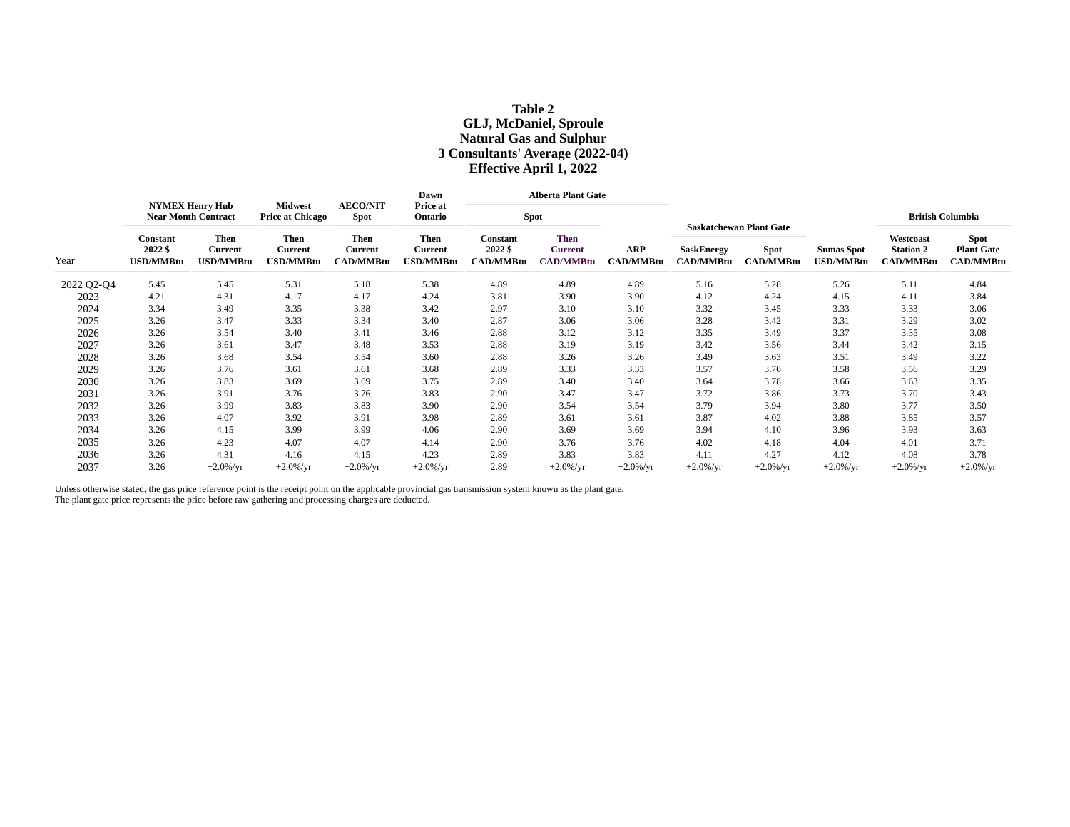# **Table 2 GLJ, McDaniel, Sproule Natural Gas and Sulphur 3 Consultants' Average (2022-04) Effective April 1, 2022**

| Year       | <b>NYMEX Henry Hub</b><br><b>Near Month Contract</b> |                                     |                                            |                                                   | Dawn                                |                                         | <b>Alberta Plant Gate</b>                         |                                |                                       |                                                                   |                                       |                                                   |                                                      |
|------------|------------------------------------------------------|-------------------------------------|--------------------------------------------|---------------------------------------------------|-------------------------------------|-----------------------------------------|---------------------------------------------------|--------------------------------|---------------------------------------|-------------------------------------------------------------------|---------------------------------------|---------------------------------------------------|------------------------------------------------------|
|            |                                                      |                                     | <b>Midwest</b><br><b>Price at Chicago</b>  | <b>AECO/NIT</b><br>Spot                           | Price at<br>Ontario                 | <b>Spot</b>                             |                                                   |                                |                                       |                                                                   |                                       |                                                   | <b>British Columbia</b>                              |
|            | Constant<br>2022 \$<br><b>USD/MMBtu</b>              | <b>Then</b><br>Current<br>USD/MMBtu | Then<br><b>Current</b><br><b>USD/MMBtu</b> | <b>Then</b><br><b>Current</b><br><b>CAD/MMBtu</b> | <b>Then</b><br>Current<br>USD/MMBtu | Constant<br>2022 \$<br><b>CAD/MMBtu</b> | <b>Then</b><br><b>Current</b><br><b>CAD/MMBtu</b> | <b>ARP</b><br><b>CAD/MMBtu</b> | <b>SaskEnergy</b><br><b>CAD/MMBtu</b> | <b>Saskatchewan Plant Gate</b><br><b>Spot</b><br><b>CAD/MMBtu</b> | <b>Sumas Spot</b><br><b>USD/MMBtu</b> | Westcoast<br><b>Station 2</b><br><b>CAD/MMBtu</b> | <b>Spot</b><br><b>Plant Gate</b><br><b>CAD/MMBtu</b> |
| 2022 Q2-Q4 | 5.45                                                 | 5.45                                | 5.31                                       | 5.18                                              | 5.38                                | 4.89                                    | 4.89                                              | 4.89                           | 5.16                                  | 5.28                                                              | 5.26                                  | 5.11                                              | 4.84                                                 |
| 2023       | 4.21                                                 | 4.31                                | 4.17                                       | 4.17                                              | 4.24                                | 3.81                                    | 3.90                                              | 3.90                           | 4.12                                  | 4.24                                                              | 4.15                                  | 4.11                                              | 3.84                                                 |
| 2024       | 3.34                                                 | 3.49                                | 3.35                                       | 3.38                                              | 3.42                                | 2.97                                    | 3.10                                              | 3.10                           | 3.32                                  | 3.45                                                              | 3.33                                  | 3.33                                              | 3.06                                                 |
| 2025       | 3.26                                                 | 3.47                                | 3.33                                       | 3.34                                              | 3.40                                | 2.87                                    | 3.06                                              | 3.06                           | 3.28                                  | 3.42                                                              | 3.31                                  | 3.29                                              | 3.02                                                 |
| 2026       | 3.26                                                 | 3.54                                | 3.40                                       | 3.41                                              | 3.46                                | 2.88                                    | 3.12                                              | 3.12                           | 3.35                                  | 3.49                                                              | 3.37                                  | 3.35                                              | 3.08                                                 |
| 2027       | 3.26                                                 | 3.61                                | 3.47                                       | 3.48                                              | 3.53                                | 2.88                                    | 3.19                                              | 3.19                           | 3.42                                  | 3.56                                                              | 3.44                                  | 3.42                                              | 3.15                                                 |
| 2028       | 3.26                                                 | 3.68                                | 3.54                                       | 3.54                                              | 3.60                                | 2.88                                    | 3.26                                              | 3.26                           | 3.49                                  | 3.63                                                              | 3.51                                  | 3.49                                              | 3.22                                                 |
| 2029       | 3.26                                                 | 3.76                                | 3.61                                       | 3.61                                              | 3.68                                | 2.89                                    | 3.33                                              | 3.33                           | 3.57                                  | 3.70                                                              | 3.58                                  | 3.56                                              | 3.29                                                 |
| 2030       | 3.26                                                 | 3.83                                | 3.69                                       | 3.69                                              | 3.75                                | 2.89                                    | 3.40                                              | 3.40                           | 3.64                                  | 3.78                                                              | 3.66                                  | 3.63                                              | 3.35                                                 |
| 2031       | 3.26                                                 | 3.91                                | 3.76                                       | 3.76                                              | 3.83                                | 2.90                                    | 3.47                                              | 3.47                           | 3.72                                  | 3.86                                                              | 3.73                                  | 3.70                                              | 3.43                                                 |
| 2032       | 3.26                                                 | 3.99                                | 3.83                                       | 3.83                                              | 3.90                                | 2.90                                    | 3.54                                              | 3.54                           | 3.79                                  | 3.94                                                              | 3.80                                  | 3.77                                              | 3.50                                                 |
| 2033       | 3.26                                                 | 4.07                                | 3.92                                       | 3.91                                              | 3.98                                | 2.89                                    | 3.61                                              | 3.61                           | 3.87                                  | 4.02                                                              | 3.88                                  | 3.85                                              | 3.57                                                 |
| 2034       | 3.26                                                 | 4.15                                | 3.99                                       | 3.99                                              | 4.06                                | 2.90                                    | 3.69                                              | 3.69                           | 3.94                                  | 4.10                                                              | 3.96                                  | 3.93                                              | 3.63                                                 |
| 2035       | 3.26                                                 | 4.23                                | 4.07                                       | 4.07                                              | 4.14                                | 2.90                                    | 3.76                                              | 3.76                           | 4.02                                  | 4.18                                                              | 4.04                                  | 4.01                                              | 3.71                                                 |
| 2036       | 3.26                                                 | 4.31                                | 4.16                                       | 4.15                                              | 4.23                                | 2.89                                    | 3.83                                              | 3.83                           | 4.11                                  | 4.27                                                              | 4.12                                  | 4.08                                              | 3.78                                                 |
| 2037       | 3.26                                                 | $+2.0\%$ /yr                        | $+2.0\%$ /yr                               | $+2.0\%$ /yr                                      | $+2.0\%$ /yr                        | 2.89                                    | $+2.0\%$ /yr                                      | $+2.0\%$ /yr                   | $+2.0\%$ /yr                          | $+2.0\%$ /yr                                                      | $+2.0\%$ /yr                          | $+2.0\%$ /yr                                      | $+2.0\%$ /yr                                         |

Unless otherwise stated, the gas price reference point is the receipt point on the applicable provincial gas transmission system known as the plant gate. The plant gate price represents the price before raw gathering and processing charges are deducted.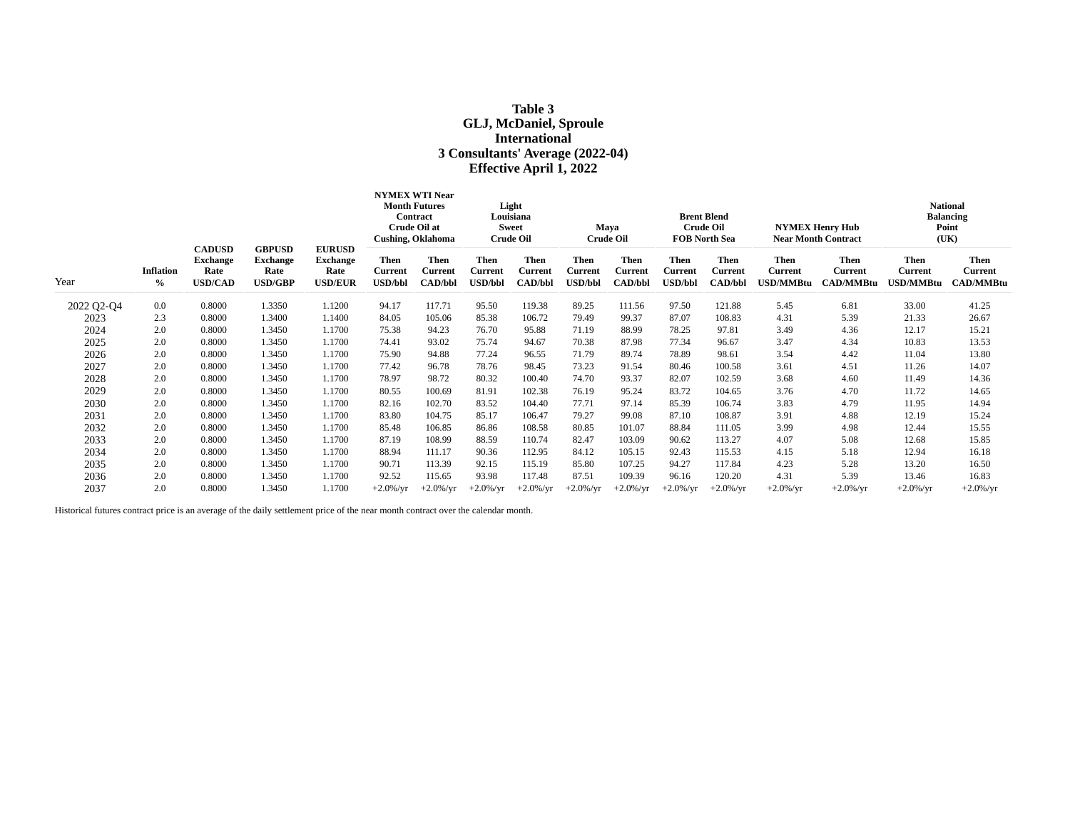# **Table 3 GLJ, McDaniel, Sproule International 3 Consultants' Average (2022-04) Effective April 1, 2022**

|            |                          |                                                            |                                                            |                                                            | <b>NYMEX WTI Near</b><br><b>Month Futures</b><br>Contract<br>Crude Oil at<br><b>Cushing, Oklahoma</b> |                                                 | Light<br>Louisiana<br><b>Sweet</b><br><b>Crude Oil</b> |                                          | Maya<br><b>Crude Oil</b>          |                                                 | <b>Brent Blend</b><br><b>Crude Oil</b><br><b>FOB North Sea</b> |                                          | <b>NYMEX Henry Hub</b><br><b>Near Month Contract</b> |                                            | <b>National</b><br><b>Balancing</b><br>Point<br>(UK) |                                            |
|------------|--------------------------|------------------------------------------------------------|------------------------------------------------------------|------------------------------------------------------------|-------------------------------------------------------------------------------------------------------|-------------------------------------------------|--------------------------------------------------------|------------------------------------------|-----------------------------------|-------------------------------------------------|----------------------------------------------------------------|------------------------------------------|------------------------------------------------------|--------------------------------------------|------------------------------------------------------|--------------------------------------------|
| Year       | <b>Inflation</b><br>$\%$ | <b>CADUSD</b><br><b>Exchange</b><br>Rate<br><b>USD/CAD</b> | <b>GBPUSD</b><br><b>Exchange</b><br>Rate<br><b>USD/GBP</b> | <b>EURUSD</b><br><b>Exchange</b><br>Rate<br><b>USD/EUR</b> | Then<br><b>Current</b><br><b>USD/bbl</b>                                                              | <b>Then</b><br><b>Current</b><br><b>CAD/bbl</b> | <b>Then</b><br><b>Current</b><br><b>USD/bbl</b>        | <b>Then</b><br>Current<br><b>CAD/bbl</b> | Then<br>Current<br><b>USD/bbl</b> | <b>Then</b><br><b>Current</b><br><b>CAD/bbl</b> | Then<br>Current<br><b>USD/bbl</b>                              | <b>Then</b><br>Current<br><b>CAD/bbl</b> | <b>Then</b><br><b>Current</b><br><b>JSD/MMBtu</b>    | <b>Then</b><br>Current<br><b>CAD/MMBtu</b> | <b>Then</b><br><b>Current</b><br>JSD/MMBtu           | <b>Then</b><br><b>Current</b><br>CAD/MMBtu |
| 2022 Q2-Q4 | 0.0                      | 0.8000                                                     | 1.3350                                                     | 1.1200                                                     | 94.17                                                                                                 | 117.71                                          | 95.50                                                  | 119.38                                   | 89.25                             | 111.56                                          | 97.50                                                          | 121.88                                   | 5.45                                                 | 6.81                                       | 33.00                                                | 41.25                                      |
| 2023       | 2.3                      | 0.8000                                                     | 1.3400                                                     | 1.1400                                                     | 84.05                                                                                                 | 105.06                                          | 85.38                                                  | 106.72                                   | 79.49                             | 99.37                                           | 87.07                                                          | 108.83                                   | 4.31                                                 | 5.39                                       | 21.33                                                | 26.67                                      |
| 2024       | 2.0                      | 0.8000                                                     | 1.3450                                                     | 1.1700                                                     | 75.38                                                                                                 | 94.23                                           | 76.70                                                  | 95.88                                    | 71.19                             | 88.99                                           | 78.25                                                          | 97.81                                    | 3.49                                                 | 4.36                                       | 12.17                                                | 15.21                                      |
| 2025       | 2.0                      | 0.8000                                                     | 1.3450                                                     | 1.1700                                                     | 74.41                                                                                                 | 93.02                                           | 75.74                                                  | 94.67                                    | 70.38                             | 87.98                                           | 77.34                                                          | 96.67                                    | 3.47                                                 | 4.34                                       | 10.83                                                | 13.53                                      |
| 2026       | 2.0                      | 0.8000                                                     | 1.3450                                                     | 1.1700                                                     | 75.90                                                                                                 | 94.88                                           | 77.24                                                  | 96.55                                    | 71.79                             | 89.74                                           | 78.89                                                          | 98.61                                    | 3.54                                                 | 4.42                                       | 11.04                                                | 13.80                                      |
| 2027       | 2.0                      | 0.8000                                                     | 1.3450                                                     | 1.1700                                                     | 77.42                                                                                                 | 96.78                                           | 78.76                                                  | 98.45                                    | 73.23                             | 91.54                                           | 80.46                                                          | 100.58                                   | 3.61                                                 | 4.51                                       | 11.26                                                | 14.07                                      |
| 2028       | 2.0                      | 0.8000                                                     | 1.3450                                                     | 1.1700                                                     | 78.97                                                                                                 | 98.72                                           | 80.32                                                  | 100.40                                   | 74.70                             | 93.37                                           | 82.07                                                          | 102.59                                   | 3.68                                                 | 4.60                                       | 11.49                                                | 14.36                                      |
| 2029       | 2.0                      | 0.8000                                                     | 1.3450                                                     | 1.1700                                                     | 80.55                                                                                                 | 100.69                                          | 81.91                                                  | 102.38                                   | 76.19                             | 95.24                                           | 83.72                                                          | 104.65                                   | 3.76                                                 | 4.70                                       | 11.72                                                | 14.65                                      |
| 2030       | 2.0                      | 0.8000                                                     | 1.3450                                                     | 1.1700                                                     | 82.16                                                                                                 | 102.70                                          | 83.52                                                  | 104.40                                   | 77.71                             | 97.14                                           | 85.39                                                          | 106.74                                   | 3.83                                                 | 4.79                                       | 11.95                                                | 14.94                                      |
| 2031       | 2.0                      | 0.8000                                                     | 1.3450                                                     | 1.1700                                                     | 83.80                                                                                                 | 104.75                                          | 85.17                                                  | 106.47                                   | 79.27                             | 99.08                                           | 87.10                                                          | 108.87                                   | 3.91                                                 | 4.88                                       | 12.19                                                | 15.24                                      |
| 2032       | 2.0                      | 0.8000                                                     | 1.3450                                                     | 1.1700                                                     | 85.48                                                                                                 | 106.85                                          | 86.86                                                  | 108.58                                   | 80.85                             | 101.07                                          | 88.84                                                          | 111.05                                   | 3.99                                                 | 4.98                                       | 12.44                                                | 15.55                                      |
| 2033       | 2.0                      | 0.8000                                                     | 1.3450                                                     | 1.1700                                                     | 87.19                                                                                                 | 108.99                                          | 88.59                                                  | 110.74                                   | 82.47                             | 103.09                                          | 90.62                                                          | 113.27                                   | 4.07                                                 | 5.08                                       | 12.68                                                | 15.85                                      |
| 2034       | 2.0                      | 0.8000                                                     | 1.3450                                                     | 1.1700                                                     | 88.94                                                                                                 | 111.17                                          | 90.36                                                  | 112.95                                   | 84.12                             | 105.15                                          | 92.43                                                          | 115.53                                   | 4.15                                                 | 5.18                                       | 12.94                                                | 16.18                                      |
| 2035       | 2.0                      | 0.8000                                                     | 1.3450                                                     | 1.1700                                                     | 90.71                                                                                                 | 113.39                                          | 92.15                                                  | 115.19                                   | 85.80                             | 107.25                                          | 94.27                                                          | 117.84                                   | 4.23                                                 | 5.28                                       | 13.20                                                | 16.50                                      |
| 2036       | 2.0                      | 0.8000                                                     | 1.3450                                                     | 1.1700                                                     | 92.52                                                                                                 | 115.65                                          | 93.98                                                  | 117.48                                   | 87.51                             | 109.39                                          | 96.16                                                          | 120.20                                   | 4.31                                                 | 5.39                                       | 13.46                                                | 16.83                                      |
| 2037       | 2.0                      | 0.8000                                                     | 1.3450                                                     | 1.1700                                                     | $+2.0\%$ /yr                                                                                          | $+2.0\%$ /yr                                    | $+2.0\%$ /yr                                           | $+2.0\%$ /yr                             | $+2.0\%$ /yr                      | $+2.0\%$ /yr                                    | $+2.0\%$ /yr                                                   | $+2.0\%$ /yr                             | $+2.0\%$ /yr                                         | $+2.0\%$ /yr                               | $+2.0\%$ /yr                                         | $+2.0\%$ /yr                               |

Historical futures contract price is an average of the daily settlement price of the near month contract over the calendar month.